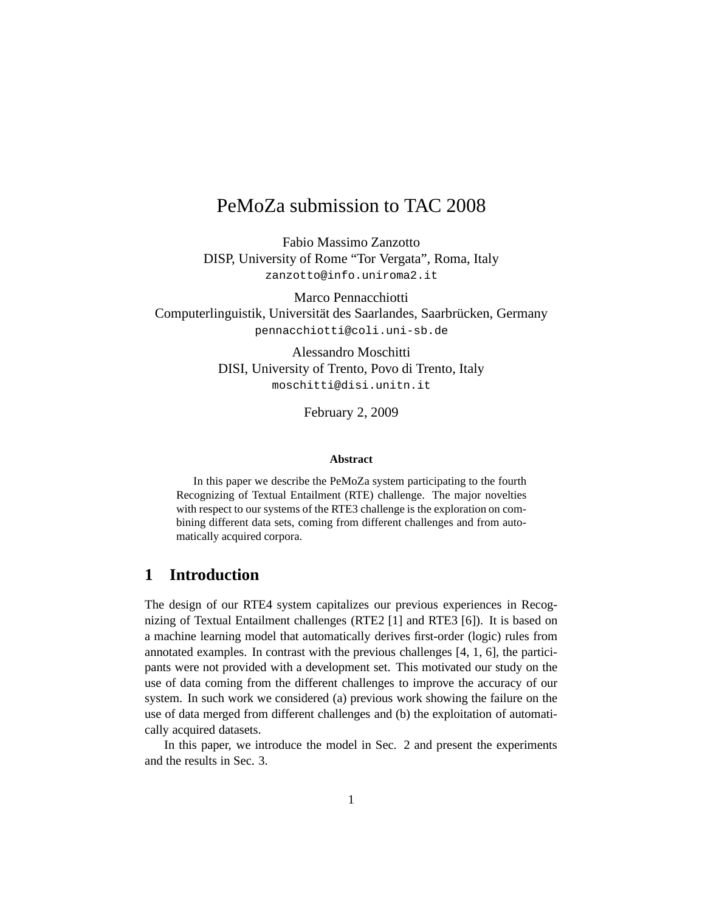# PeMoZa submission to TAC 2008

Fabio Massimo Zanzotto DISP, University of Rome "Tor Vergata", Roma, Italy zanzotto@info.uniroma2.it

Marco Pennacchiotti Computerlinguistik, Universität des Saarlandes, Saarbrücken, Germany pennacchiotti@coli.uni-sb.de

> Alessandro Moschitti DISI, University of Trento, Povo di Trento, Italy moschitti@disi.unitn.it

> > February 2, 2009

#### **Abstract**

In this paper we describe the PeMoZa system participating to the fourth Recognizing of Textual Entailment (RTE) challenge. The major novelties with respect to our systems of the RTE3 challenge is the exploration on combining different data sets, coming from different challenges and from automatically acquired corpora.

### **1 Introduction**

The design of our RTE4 system capitalizes our previous experiences in Recognizing of Textual Entailment challenges (RTE2 [1] and RTE3 [6]). It is based on a machine learning model that automatically derives first-order (logic) rules from annotated examples. In contrast with the previous challenges [4, 1, 6], the participants were not provided with a development set. This motivated our study on the use of data coming from the different challenges to improve the accuracy of our system. In such work we considered (a) previous work showing the failure on the use of data merged from different challenges and (b) the exploitation of automatically acquired datasets.

In this paper, we introduce the model in Sec. 2 and present the experiments and the results in Sec. 3.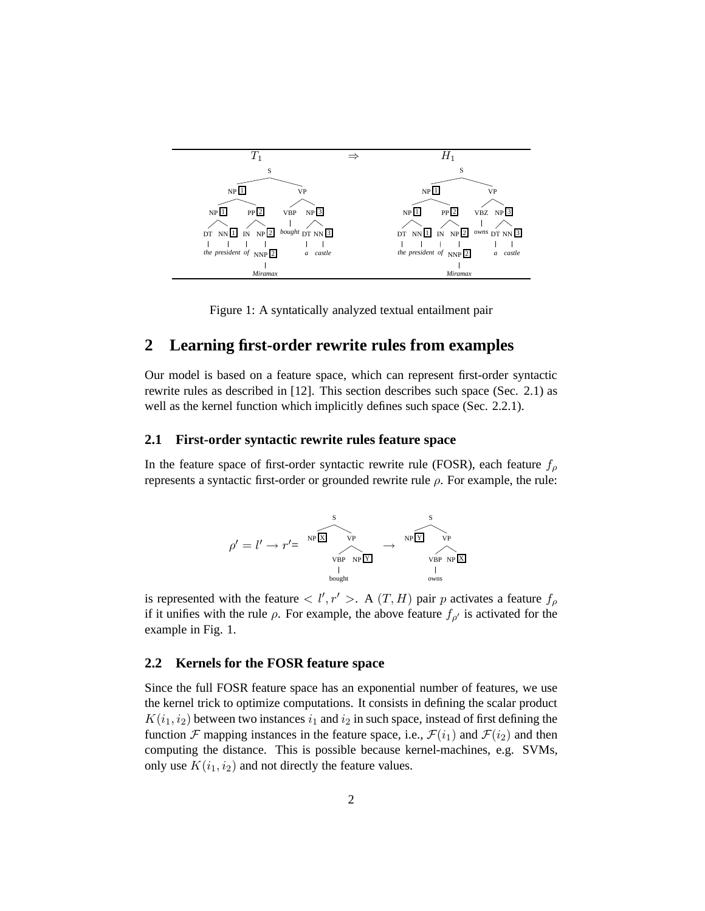

Figure 1: A syntatically analyzed textual entailment pair

### **2 Learning first-order rewrite rules from examples**

Our model is based on a feature space, which can represent first-order syntactic rewrite rules as described in [12]. This section describes such space (Sec. 2.1) as well as the kernel function which implicitly defines such space (Sec. 2.2.1).

#### **2.1 First-order syntactic rewrite rules feature space**

In the feature space of first-order syntactic rewrite rule (FOSR), each feature  $f_{\rho}$ represents a syntactic first-order or grounded rewrite rule  $ρ$ . For example, the rule:



is represented with the feature  $\langle l', r' \rangle$ . A  $(T, H)$  pair p activates a feature  $f_{\rho}$ if it unifies with the rule  $\rho$ . For example, the above feature  $f_{\rho'}$  is activated for the example in Fig. 1.

#### **2.2 Kernels for the FOSR feature space**

Since the full FOSR feature space has an exponential number of features, we use the kernel trick to optimize computations. It consists in defining the scalar product  $K(i_1, i_2)$  between two instances  $i_1$  and  $i_2$  in such space, instead of first defining the function F mapping instances in the feature space, i.e.,  $\mathcal{F}(i_1)$  and  $\mathcal{F}(i_2)$  and then computing the distance. This is possible because kernel-machines, e.g. SVMs, only use  $K(i_1, i_2)$  and not directly the feature values.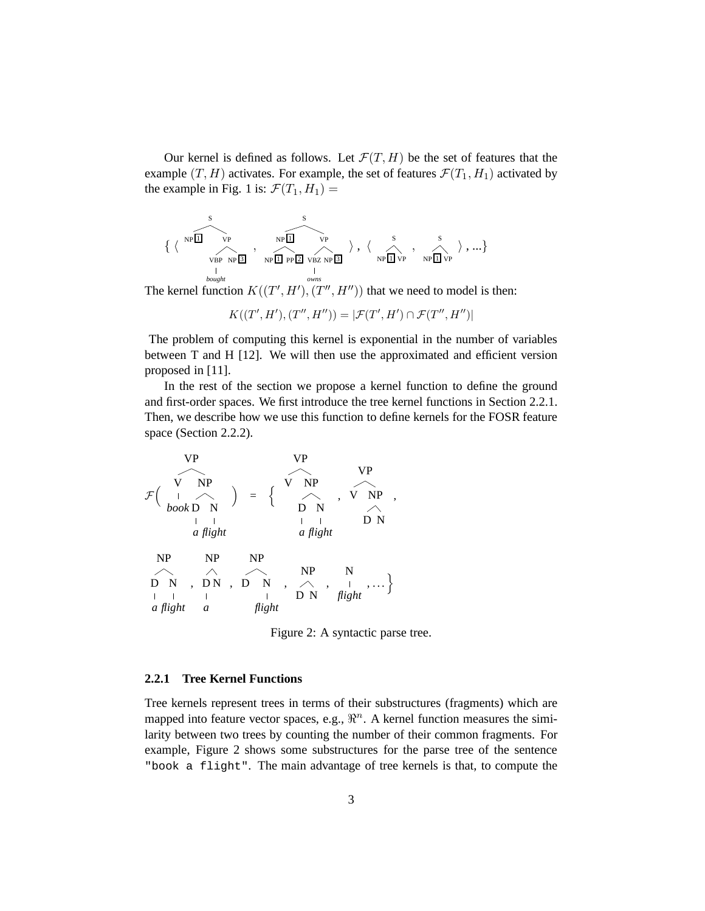Our kernel is defined as follows. Let  $\mathcal{F}(T, H)$  be the set of features that the example  $(T, H)$  activates. For example, the set of features  $\mathcal{F}(T_1, H_1)$  activated by the example in Fig. 1 is:  $\mathcal{F}(T_1, H_1) =$ 

$$
\left\{ \left\langle \begin{array}{ccccc} & & & & & s & & & \\ \text{NP} & & & & & & \text{NP} \\ \text{VP} & & & & & & \text{NP} \\ \text{VP} & & & & & & \text{NP} \\ \text{VP} & & & & & & \text{NP} \\ \text{P} & & & & & & \text{NP} \\ \text{D} & & & & & & \text{NP} \\ \text{D} & & & & & & \text{NP} \end{array} \right\rangle \text{, } \left\langle \begin{array}{ccccc} & & & & & s & & \\ \text{N} & & & & & & \text{N} \\ \text{N} & & & & & & \text{N} \\ \text{N} & & & & & & \text{N} \\ \text{N} & & & & & & \text{N} \\ \text{D} & & & & & & \text{N} \\ \text{D} & & & & & & \text{N} \\ \text{D} & & & & & & \text{N} \\ \end{array} \right\rangle \text{, } \left\langle \begin{array}{ccccc} & & & & & s & & \\ \text{N} & & & & & & \text{N} \\ \text{N} & & & & & & \text{N} \\ \text{N} & & & & & & \text{N} \\ \text{N} & & & & & & \text{N} \\ \text{N} & & & & & & \text{N} \\ \end{array} \right\rangle \text{ , } \dots \right\}
$$

The kernel function  $K((T', H'), (T'', H''))$  that we need to model is then:

 $K((T', H'), (T'', H'')) = |\mathcal{F}(T', H') \cap \mathcal{F}(T'', H'')|$ 

The problem of computing this kernel is exponential in the number of variables between T and H [12]. We will then use the approximated and efficient version proposed in [11].

In the rest of the section we propose a kernel function to define the ground and first-order spaces. We first introduce the tree kernel functions in Section 2.2.1. Then, we describe how we use this function to define kernels for the FOSR feature space (Section 2.2.2).

F VP V *book* NP D *a* N *flight* = n VP V NP D *a* N *flight* , VP V NP D N , NP D *a* N *flight* , NP D *a* N , NP D N *flight* , NP D N , N *flight* , . . .o

Figure 2: A syntactic parse tree.

#### **2.2.1 Tree Kernel Functions**

Tree kernels represent trees in terms of their substructures (fragments) which are mapped into feature vector spaces, e.g.,  $\mathbb{R}^n$ . A kernel function measures the similarity between two trees by counting the number of their common fragments. For example, Figure 2 shows some substructures for the parse tree of the sentence "book a flight". The main advantage of tree kernels is that, to compute the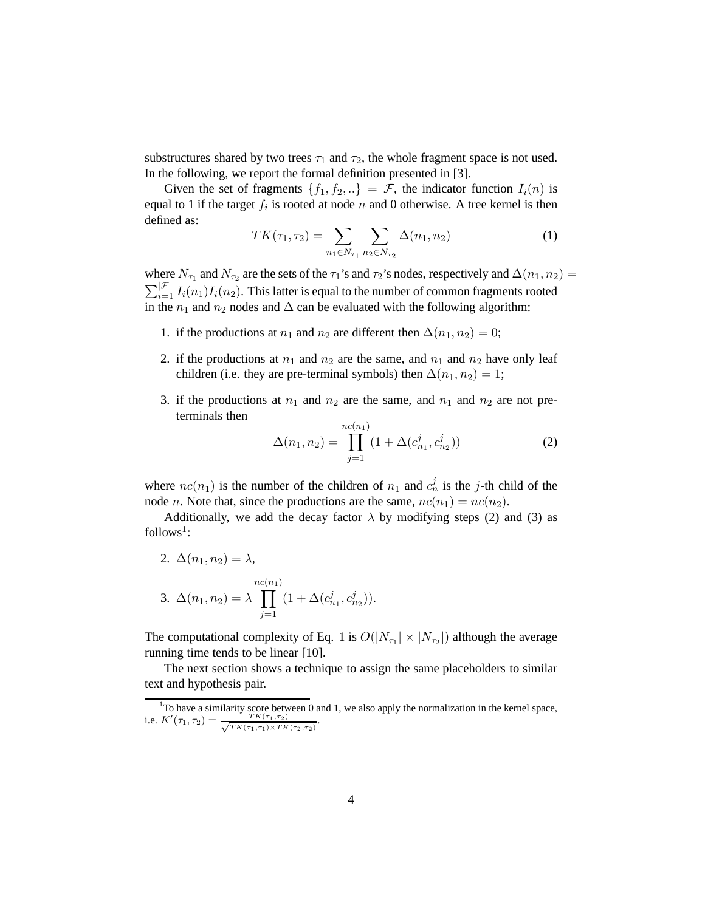substructures shared by two trees  $\tau_1$  and  $\tau_2$ , the whole fragment space is not used. In the following, we report the formal definition presented in [3].

Given the set of fragments  $\{f_1, f_2, ...\} = \mathcal{F}$ , the indicator function  $I_i(n)$  is equal to 1 if the target  $f_i$  is rooted at node n and 0 otherwise. A tree kernel is then defined as:

$$
TK(\tau_1, \tau_2) = \sum_{n_1 \in N_{\tau_1}} \sum_{n_2 \in N_{\tau_2}} \Delta(n_1, n_2)
$$
 (1)

where  $N_{\tau_1}$  and  $N_{\tau_2}$  are the sets of the  $\tau_1$ 's and  $\tau_2$ 's nodes, respectively and  $\Delta(n_1, n_2) =$  $\sum_{i=1}^{|\mathcal{F}|} I_i(n_1) I_i(n_2)$ . This latter is equal to the number of common fragments rooted in the  $n_1$  and  $n_2$  nodes and  $\Delta$  can be evaluated with the following algorithm:

- 1. if the productions at  $n_1$  and  $n_2$  are different then  $\Delta(n_1, n_2) = 0$ ;
- 2. if the productions at  $n_1$  and  $n_2$  are the same, and  $n_1$  and  $n_2$  have only leaf children (i.e. they are pre-terminal symbols) then  $\Delta(n_1, n_2) = 1$ ;
- 3. if the productions at  $n_1$  and  $n_2$  are the same, and  $n_1$  and  $n_2$  are not preterminals then

$$
\Delta(n_1, n_2) = \prod_{j=1}^{nc(n_1)} (1 + \Delta(c_{n_1}^j, c_{n_2}^j))
$$
 (2)

where  $nc(n_1)$  is the number of the children of  $n_1$  and  $c_n^j$  is the j-th child of the node *n*. Note that, since the productions are the same,  $nc(n_1) = nc(n_2)$ .

Additionally, we add the decay factor  $\lambda$  by modifying steps (2) and (3) as  $follows<sup>1</sup>$ :

2. 
$$
\Delta(n_1, n_2) = \lambda
$$
,  
3.  $\Delta(n_1, n_2) = \lambda \prod_{j=1}^{nc(n_1)} (1 + \Delta(c_{n_1}^j, c_{n_2}^j)).$ 

The computational complexity of Eq. 1 is  $O(|N_{\tau_1}| \times |N_{\tau_2}|)$  although the average running time tends to be linear [10].

The next section shows a technique to assign the same placeholders to similar text and hypothesis pair.

 $1$ To have a similarity score between 0 and 1, we also apply the normalization in the kernel space, i.e.  $K'(\tau_1, \tau_2) = \frac{TK(\tau_1, \tau_2)}{\sqrt{TK(\tau_1, \tau_1)} \times TK(\tau_2, \tau_2)}}$ .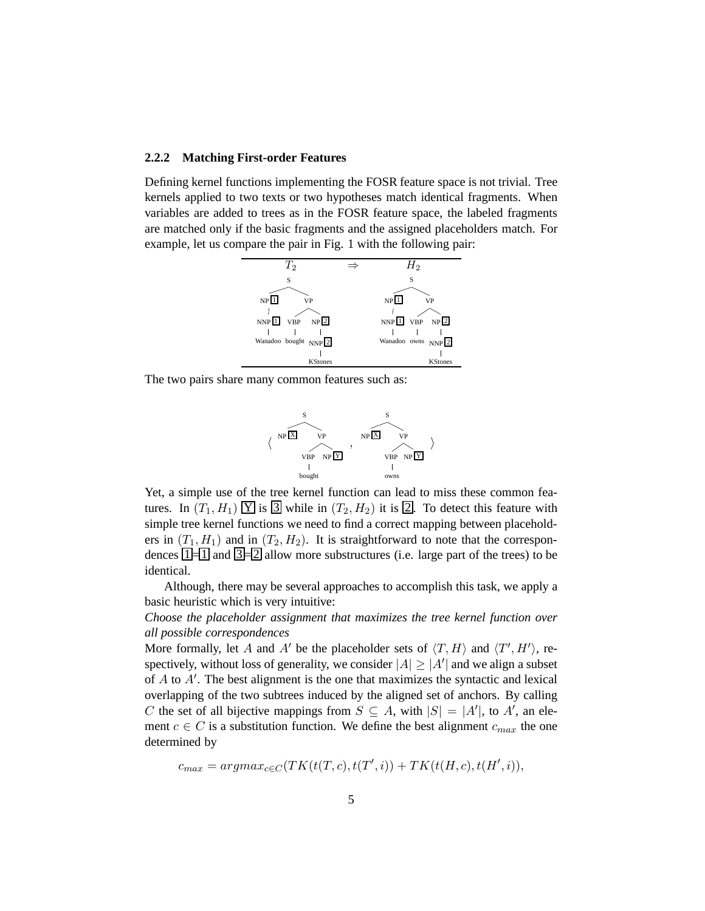#### **2.2.2 Matching First-order Features**

Defining kernel functions implementing the FOSR feature space is not trivial. Tree kernels applied to two texts or two hypotheses match identical fragments. When variables are added to trees as in the FOSR feature space, the labeled fragments are matched only if the basic fragments and the assigned placeholders match. For example, let us compare the pair in Fig. 1 with the following pair:



The two pairs share many common features such as:



Yet, a simple use of the tree kernel function can lead to miss these common features. In  $(T_1, H_1)$   $\boxed{Y}$  is  $\boxed{3}$  while in  $(T_2, H_2)$  it is  $\boxed{2}$ . To detect this feature with simple tree kernel functions we need to find a correct mapping between placeholders in  $(T_1, H_1)$  and in  $(T_2, H_2)$ . It is straightforward to note that the correspondences  $1\neq 1$  and  $3\neq 2$  allow more substructures (i.e. large part of the trees) to be identical.

Although, there may be several approaches to accomplish this task, we apply a basic heuristic which is very intuitive:

*Choose the placeholder assignment that maximizes the tree kernel function over all possible correspondences*

More formally, let A and A' be the placeholder sets of  $\langle T, H \rangle$  and  $\langle T', H' \rangle$ , respectively, without loss of generality, we consider  $|A| \geq |A'|$  and we align a subset of  $A$  to  $A'$ . The best alignment is the one that maximizes the syntactic and lexical overlapping of the two subtrees induced by the aligned set of anchors. By calling C the set of all bijective mappings from  $S \subseteq A$ , with  $|S| = |A'|$ , to A', an element  $c \in C$  is a substitution function. We define the best alignment  $c_{max}$  the one determined by

 $c_{max} = argmax_{c \in C} (TK(t(T, c), t(T', i)) + TK(t(H, c), t(H', i)),$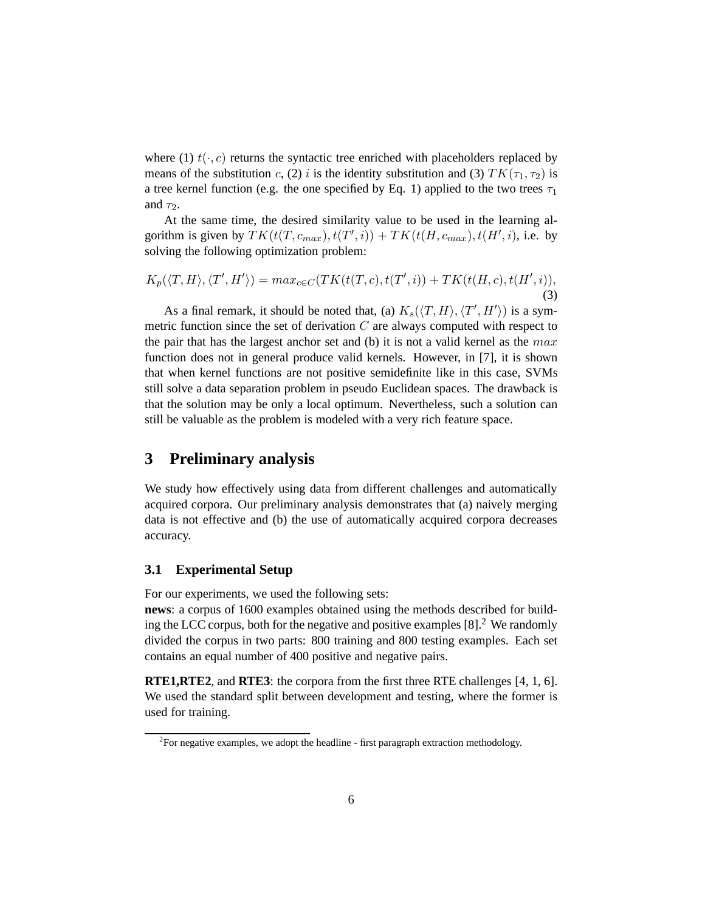where (1)  $t(\cdot, c)$  returns the syntactic tree enriched with placeholders replaced by means of the substitution c, (2) i is the identity substitution and (3)  $TK(\tau_1, \tau_2)$  is a tree kernel function (e.g. the one specified by Eq. 1) applied to the two trees  $\tau_1$ and  $\tau_2$ .

At the same time, the desired similarity value to be used in the learning algorithm is given by  $TK(t(T, c_{max}), t(T', i)) + TK(t(H, c_{max}), t(H', i))$ , i.e. by solving the following optimization problem:

$$
K_p(\langle T, H \rangle, \langle T', H' \rangle) = max_{c \in C}(TK(t(T, c), t(T', i)) + TK(t(H, c), t(H', i)),
$$
\n(3)

As a final remark, it should be noted that, (a)  $K_s(\langle T, H \rangle, \langle T', H' \rangle)$  is a symmetric function since the set of derivation  $C$  are always computed with respect to the pair that has the largest anchor set and (b) it is not a valid kernel as the  $max$ function does not in general produce valid kernels. However, in [7], it is shown that when kernel functions are not positive semidefinite like in this case, SVMs still solve a data separation problem in pseudo Euclidean spaces. The drawback is that the solution may be only a local optimum. Nevertheless, such a solution can still be valuable as the problem is modeled with a very rich feature space.

### **3 Preliminary analysis**

We study how effectively using data from different challenges and automatically acquired corpora. Our preliminary analysis demonstrates that (a) naively merging data is not effective and (b) the use of automatically acquired corpora decreases accuracy.

#### **3.1 Experimental Setup**

For our experiments, we used the following sets:

**news**: a corpus of 1600 examples obtained using the methods described for building the LCC corpus, both for the negative and positive examples  $[8]$ <sup>2</sup>. We randomly divided the corpus in two parts: 800 training and 800 testing examples. Each set contains an equal number of 400 positive and negative pairs.

**RTE1,RTE2**, and **RTE3**: the corpora from the first three RTE challenges [4, 1, 6]. We used the standard split between development and testing, where the former is used for training.

 $2$ For negative examples, we adopt the headline - first paragraph extraction methodology.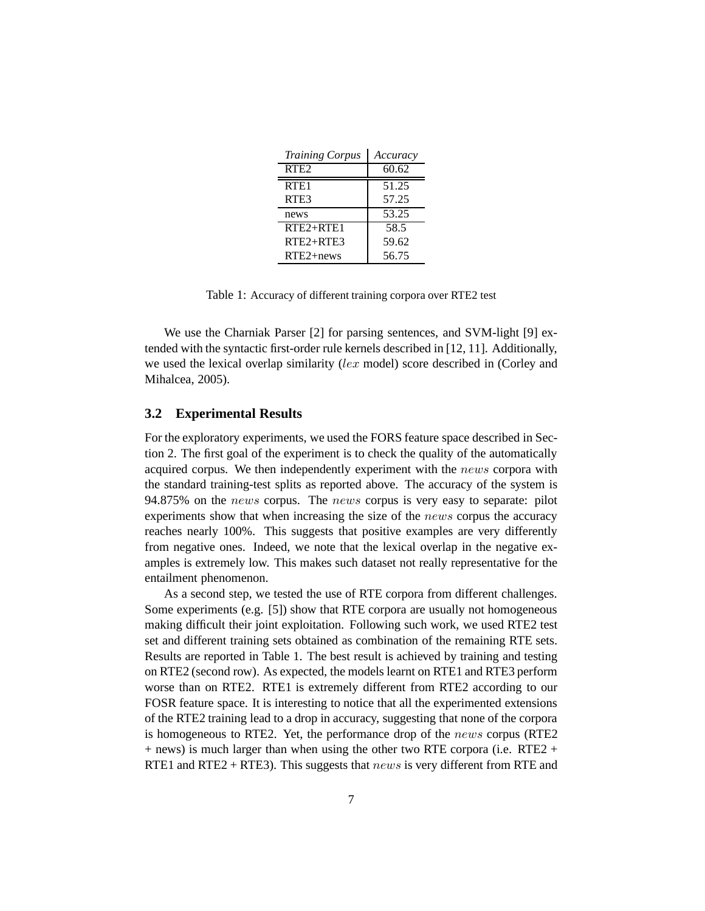| <b>Training Corpus</b> | Accuracy |
|------------------------|----------|
| RTE <sub>2</sub>       | 60.62    |
| RTE <sub>1</sub>       | 51.25    |
| RTE3                   | 57.25    |
| news                   | 53.25    |
| $RTE2 + RTE1$          | 58.5     |
| $RTE2+RTE3$            | 59.62    |
| RTE2+news              | 56.75    |

Table 1: Accuracy of different training corpora over RTE2 test

We use the Charniak Parser [2] for parsing sentences, and SVM-light [9] extended with the syntactic first-order rule kernels described in [12, 11]. Additionally, we used the lexical overlap similarity (lex model) score described in (Corley and Mihalcea, 2005).

#### **3.2 Experimental Results**

For the exploratory experiments, we used the FORS feature space described in Section 2. The first goal of the experiment is to check the quality of the automatically acquired corpus. We then independently experiment with the news corpora with the standard training-test splits as reported above. The accuracy of the system is 94.875% on the news corpus. The news corpus is very easy to separate: pilot experiments show that when increasing the size of the *news* corpus the accuracy reaches nearly 100%. This suggests that positive examples are very differently from negative ones. Indeed, we note that the lexical overlap in the negative examples is extremely low. This makes such dataset not really representative for the entailment phenomenon.

As a second step, we tested the use of RTE corpora from different challenges. Some experiments (e.g. [5]) show that RTE corpora are usually not homogeneous making difficult their joint exploitation. Following such work, we used RTE2 test set and different training sets obtained as combination of the remaining RTE sets. Results are reported in Table 1. The best result is achieved by training and testing on RTE2 (second row). As expected, the models learnt on RTE1 and RTE3 perform worse than on RTE2. RTE1 is extremely different from RTE2 according to our FOSR feature space. It is interesting to notice that all the experimented extensions of the RTE2 training lead to a drop in accuracy, suggesting that none of the corpora is homogeneous to RTE2. Yet, the performance drop of the news corpus (RTE2 + news) is much larger than when using the other two RTE corpora (i.e. RTE2 + RTE1 and RTE2 + RTE3). This suggests that *news* is very different from RTE and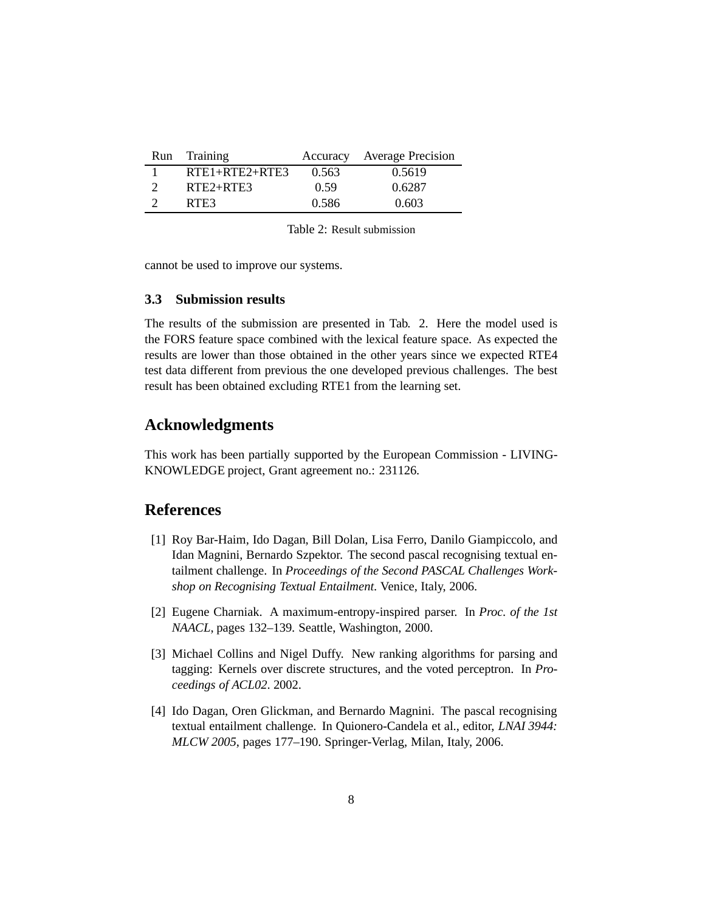| <b>Run</b> | Training             |       | Accuracy Average Precision |
|------------|----------------------|-------|----------------------------|
|            | $RTE1 + RTE2 + RTE3$ | 0.563 | 0.5619                     |
|            | $RTE2+RTE3$          | 0.59  | 0.6287                     |
|            | RTE3                 | 0.586 | 0.603                      |

Table 2: Result submission

cannot be used to improve our systems.

### **3.3 Submission results**

The results of the submission are presented in Tab. 2. Here the model used is the FORS feature space combined with the lexical feature space. As expected the results are lower than those obtained in the other years since we expected RTE4 test data different from previous the one developed previous challenges. The best result has been obtained excluding RTE1 from the learning set.

### **Acknowledgments**

This work has been partially supported by the European Commission - LIVING-KNOWLEDGE project, Grant agreement no.: 231126.

## **References**

- [1] Roy Bar-Haim, Ido Dagan, Bill Dolan, Lisa Ferro, Danilo Giampiccolo, and Idan Magnini, Bernardo Szpektor. The second pascal recognising textual entailment challenge. In *Proceedings of the Second PASCAL Challenges Workshop on Recognising Textual Entailment*. Venice, Italy, 2006.
- [2] Eugene Charniak. A maximum-entropy-inspired parser. In *Proc. of the 1st NAACL*, pages 132–139. Seattle, Washington, 2000.
- [3] Michael Collins and Nigel Duffy. New ranking algorithms for parsing and tagging: Kernels over discrete structures, and the voted perceptron. In *Proceedings of ACL02*. 2002.
- [4] Ido Dagan, Oren Glickman, and Bernardo Magnini. The pascal recognising textual entailment challenge. In Quionero-Candela et al., editor, *LNAI 3944: MLCW 2005*, pages 177–190. Springer-Verlag, Milan, Italy, 2006.